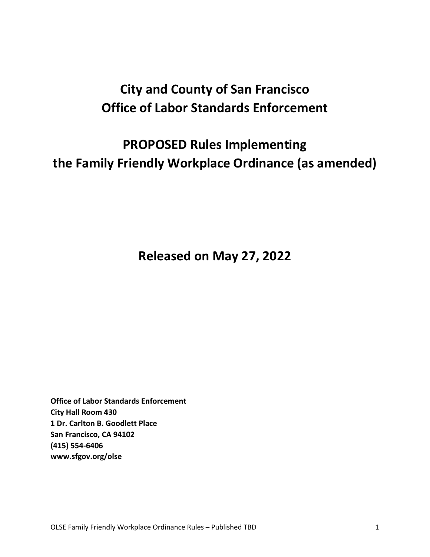# **City and County of San Francisco Office of Labor Standards Enforcement**

# **PROPOSED Rules Implementing the Family Friendly Workplace Ordinance (as amended)**

**Released on May 27, 2022**

**Office of Labor Standards Enforcement City Hall Room 430 1 Dr. Carlton B. Goodlett Place San Francisco, CA 94102 (415) 554-6406 www.sfgov.org/olse**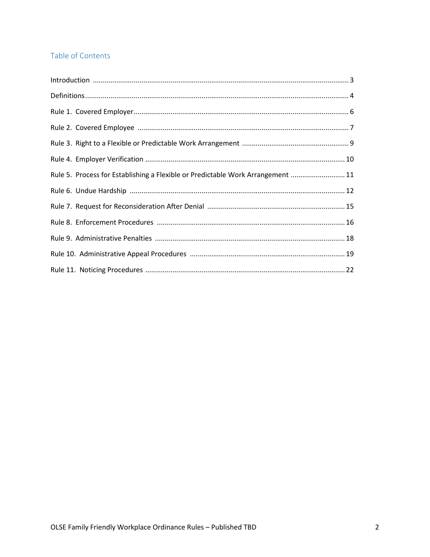# Table of Contents

| Rule 5. Process for Establishing a Flexible or Predictable Work Arrangement  11 |  |
|---------------------------------------------------------------------------------|--|
|                                                                                 |  |
|                                                                                 |  |
|                                                                                 |  |
|                                                                                 |  |
|                                                                                 |  |
|                                                                                 |  |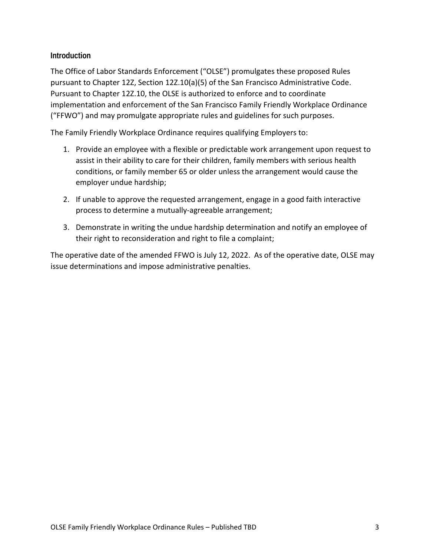# **Introduction**

The Office of Labor Standards Enforcement ("OLSE") promulgates these proposed Rules pursuant to Chapter 12Z, Section 12Z.10(a)(5) of the San Francisco Administrative Code. Pursuant to Chapter 12Z.10, the OLSE is authorized to enforce and to coordinate implementation and enforcement of the San Francisco Family Friendly Workplace Ordinance ("FFWO") and may promulgate appropriate rules and guidelines for such purposes.

The Family Friendly Workplace Ordinance requires qualifying Employers to:

- 1. Provide an employee with a flexible or predictable work arrangement upon request to assist in their ability to care for their children, family members with serious health conditions, or family member 65 or older unless the arrangement would cause the employer undue hardship;
- 2. If unable to approve the requested arrangement, engage in a good faith interactive process to determine a mutually-agreeable arrangement;
- 3. Demonstrate in writing the undue hardship determination and notify an employee of their right to reconsideration and right to file a complaint;

The operative date of the amended FFWO is July 12, 2022. As of the operative date, OLSE may issue determinations and impose administrative penalties.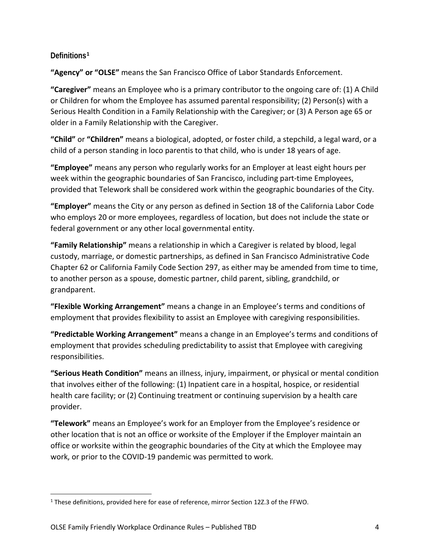# **Definitions[1](#page-3-0)**

**"Agency" or "OLSE"** means the San Francisco Office of Labor Standards Enforcement.

**"Caregiver"** means an Employee who is a primary contributor to the ongoing care of: (1) A Child or Children for whom the Employee has assumed parental responsibility; (2) Person(s) with a Serious Health Condition in a Family Relationship with the Caregiver; or (3) A Person age 65 or older in a Family Relationship with the Caregiver.

**"Child"** or **"Children"** means a biological, adopted, or foster child, a stepchild, a legal ward, or a child of a person standing in loco parentis to that child, who is under 18 years of age.

**"Employee"** means any person who regularly works for an Employer at least eight hours per week within the geographic boundaries of San Francisco, including part-time Employees, provided that Telework shall be considered work within the geographic boundaries of the City.

**"Employer"** means the City or any person as defined in Section 18 of the California Labor Code who employs 20 or more employees, regardless of location, but does not include the state or federal government or any other local governmental entity.

**"Family Relationship"** means a relationship in which a Caregiver is related by blood, legal custody, marriage, or domestic partnerships, as defined in San Francisco Administrative Code Chapter 62 or California Family Code Section 297, as either may be amended from time to time, to another person as a spouse, domestic partner, child parent, sibling, grandchild, or grandparent.

**"Flexible Working Arrangement"** means a change in an Employee's terms and conditions of employment that provides flexibility to assist an Employee with caregiving responsibilities.

**"Predictable Working Arrangement"** means a change in an Employee's terms and conditions of employment that provides scheduling predictability to assist that Employee with caregiving responsibilities.

**"Serious Heath Condition"** means an illness, injury, impairment, or physical or mental condition that involves either of the following: (1) Inpatient care in a hospital, hospice, or residential health care facility; or (2) Continuing treatment or continuing supervision by a health care provider.

**"Telework"** means an Employee's work for an Employer from the Employee's residence or other location that is not an office or worksite of the Employer if the Employer maintain an office or worksite within the geographic boundaries of the City at which the Employee may work, or prior to the COVID-19 pandemic was permitted to work.

<span id="page-3-0"></span> <sup>1</sup> These definitions, provided here for ease of reference, mirror Section 12Z.3 of the FFWO.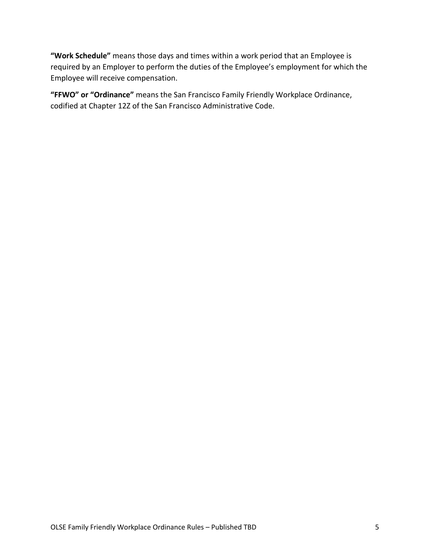**"Work Schedule"** means those days and times within a work period that an Employee is required by an Employer to perform the duties of the Employee's employment for which the Employee will receive compensation.

**"FFWO" or "Ordinance"** means the San Francisco Family Friendly Workplace Ordinance, codified at Chapter 12Z of the San Francisco Administrative Code.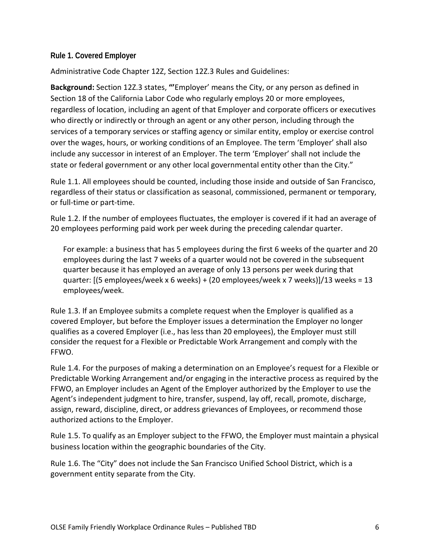#### **Rule 1. Covered Employer**

Administrative Code Chapter 12Z, Section 12Z.3 Rules and Guidelines:

**Background:** Section 12Z.3 states, **"'**Employer' means the City, or any person as defined in Section 18 of the California Labor Code who regularly employs 20 or more employees, regardless of location, including an agent of that Employer and corporate officers or executives who directly or indirectly or through an agent or any other person, including through the services of a temporary services or staffing agency or similar entity, employ or exercise control over the wages, hours, or working conditions of an Employee. The term 'Employer' shall also include any successor in interest of an Employer. The term 'Employer' shall not include the state or federal government or any other local governmental entity other than the City."

Rule 1.1. All employees should be counted, including those inside and outside of San Francisco, regardless of their status or classification as seasonal, commissioned, permanent or temporary, or full-time or part-time.

Rule 1.2. If the number of employees fluctuates, the employer is covered if it had an average of 20 employees performing paid work per week during the preceding calendar quarter.

For example: a business that has 5 employees during the first 6 weeks of the quarter and 20 employees during the last 7 weeks of a quarter would not be covered in the subsequent quarter because it has employed an average of only 13 persons per week during that quarter: [(5 employees/week x 6 weeks) + (20 employees/week x 7 weeks)]/13 weeks = 13 employees/week.

Rule 1.3. If an Employee submits a complete request when the Employer is qualified as a covered Employer, but before the Employer issues a determination the Employer no longer qualifies as a covered Employer (i.e., has less than 20 employees), the Employer must still consider the request for a Flexible or Predictable Work Arrangement and comply with the FFWO.

Rule 1.4. For the purposes of making a determination on an Employee's request for a Flexible or Predictable Working Arrangement and/or engaging in the interactive process as required by the FFWO, an Employer includes an Agent of the Employer authorized by the Employer to use the Agent's independent judgment to hire, transfer, suspend, lay off, recall, promote, discharge, assign, reward, discipline, direct, or address grievances of Employees, or recommend those authorized actions to the Employer.

Rule 1.5. To qualify as an Employer subject to the FFWO, the Employer must maintain a physical business location within the geographic boundaries of the City.

Rule 1.6. The "City" does not include the San Francisco Unified School District, which is a government entity separate from the City.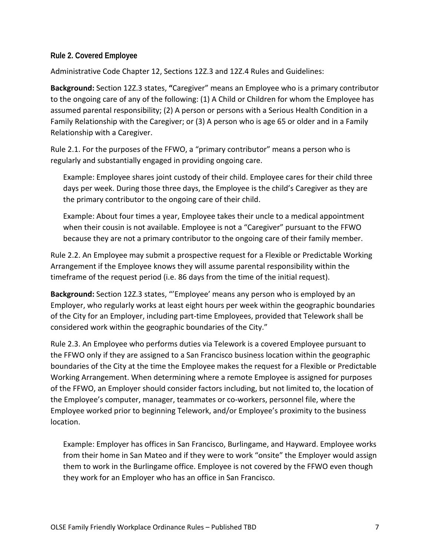#### **Rule 2. Covered Employee**

Administrative Code Chapter 12, Sections 12Z.3 and 12Z.4 Rules and Guidelines:

**Background:** Section 12Z.3 states, **"**Caregiver" means an Employee who is a primary contributor to the ongoing care of any of the following: (1) A Child or Children for whom the Employee has assumed parental responsibility; (2) A person or persons with a Serious Health Condition in a Family Relationship with the Caregiver; or (3) A person who is age 65 or older and in a Family Relationship with a Caregiver.

Rule 2.1. For the purposes of the FFWO, a "primary contributor" means a person who is regularly and substantially engaged in providing ongoing care.

Example: Employee shares joint custody of their child. Employee cares for their child three days per week. During those three days, the Employee is the child's Caregiver as they are the primary contributor to the ongoing care of their child.

Example: About four times a year, Employee takes their uncle to a medical appointment when their cousin is not available. Employee is not a "Caregiver" pursuant to the FFWO because they are not a primary contributor to the ongoing care of their family member.

Rule 2.2. An Employee may submit a prospective request for a Flexible or Predictable Working Arrangement if the Employee knows they will assume parental responsibility within the timeframe of the request period (i.e. 86 days from the time of the initial request).

**Background:** Section 12Z.3 states, "'Employee' means any person who is employed by an Employer, who regularly works at least eight hours per week within the geographic boundaries of the City for an Employer, including part-time Employees, provided that Telework shall be considered work within the geographic boundaries of the City."

Rule 2.3. An Employee who performs duties via Telework is a covered Employee pursuant to the FFWO only if they are assigned to a San Francisco business location within the geographic boundaries of the City at the time the Employee makes the request for a Flexible or Predictable Working Arrangement. When determining where a remote Employee is assigned for purposes of the FFWO, an Employer should consider factors including, but not limited to, the location of the Employee's computer, manager, teammates or co-workers, personnel file, where the Employee worked prior to beginning Telework, and/or Employee's proximity to the business location.

Example: Employer has offices in San Francisco, Burlingame, and Hayward. Employee works from their home in San Mateo and if they were to work "onsite" the Employer would assign them to work in the Burlingame office. Employee is not covered by the FFWO even though they work for an Employer who has an office in San Francisco.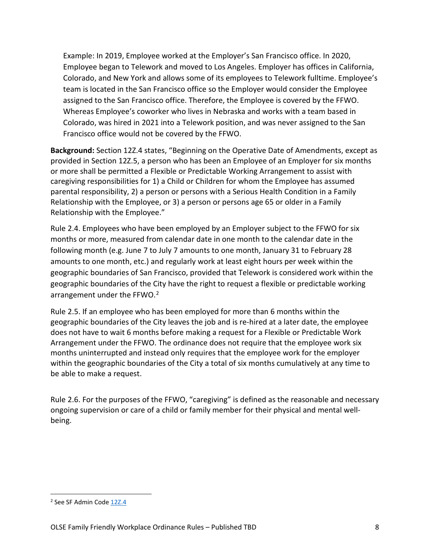Example: In 2019, Employee worked at the Employer's San Francisco office. In 2020, Employee began to Telework and moved to Los Angeles. Employer has offices in California, Colorado, and New York and allows some of its employees to Telework fulltime. Employee's team is located in the San Francisco office so the Employer would consider the Employee assigned to the San Francisco office. Therefore, the Employee is covered by the FFWO. Whereas Employee's coworker who lives in Nebraska and works with a team based in Colorado, was hired in 2021 into a Telework position, and was never assigned to the San Francisco office would not be covered by the FFWO.

**Background:** Section 12Z.4 states, "Beginning on the Operative Date of Amendments, except as provided in Section 12Z.5, a person who has been an Employee of an Employer for six months or more shall be permitted a Flexible or Predictable Working Arrangement to assist with caregiving responsibilities for 1) a Child or Children for whom the Employee has assumed parental responsibility, 2) a person or persons with a Serious Health Condition in a Family Relationship with the Employee, or 3) a person or persons age 65 or older in a Family Relationship with the Employee."

Rule 2.4. Employees who have been employed by an Employer subject to the FFWO for six months or more, measured from calendar date in one month to the calendar date in the following month (e.g. June 7 to July 7 amounts to one month, January 31 to February 28 amounts to one month, etc.) and regularly work at least eight hours per week within the geographic boundaries of San Francisco, provided that Telework is considered work within the geographic boundaries of the City have the right to request a flexible or predictable working arrangement under the FFWO.<sup>[2](#page-7-0)</sup>

Rule 2.5. If an employee who has been employed for more than 6 months within the geographic boundaries of the City leaves the job and is re-hired at a later date, the employee does not have to wait 6 months before making a request for a Flexible or Predictable Work Arrangement under the FFWO. The ordinance does not require that the employee work six months uninterrupted and instead only requires that the employee work for the employer within the geographic boundaries of the City a total of six months cumulatively at any time to be able to make a request.

Rule 2.6. For the purposes of the FFWO, "caregiving" is defined as the reasonable and necessary ongoing supervision or care of a child or family member for their physical and mental wellbeing.

<span id="page-7-0"></span> <sup>2</sup> See SF Admin Cod[e 12Z.4](http://www.amlegal.com/nxt/gateway.dll/California/administrative/chapter12zsanfranciscofamilyfriendlywork?f=templates$fn=default.htm$3.0$vid=amlegal:sanfrancisco_ca$anc=JD_12Z.4)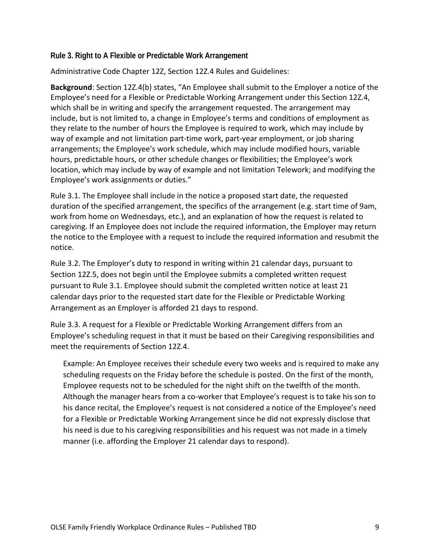#### **Rule 3. Right to A Flexible or Predictable Work Arrangement**

Administrative Code Chapter 12Z, Section 12Z.4 Rules and Guidelines:

**Background**: Section 12Z.4(b) states, "An Employee shall submit to the Employer a notice of the Employee's need for a Flexible or Predictable Working Arrangement under this Section 12Z.4, which shall be in writing and specify the arrangement requested. The arrangement may include, but is not limited to, a change in Employee's terms and conditions of employment as they relate to the number of hours the Employee is required to work, which may include by way of example and not limitation part-time work, part-year employment, or job sharing arrangements; the Employee's work schedule, which may include modified hours, variable hours, predictable hours, or other schedule changes or flexibilities; the Employee's work location, which may include by way of example and not limitation Telework; and modifying the Employee's work assignments or duties."

Rule 3.1. The Employee shall include in the notice a proposed start date, the requested duration of the specified arrangement, the specifics of the arrangement (e.g. start time of 9am, work from home on Wednesdays, etc.), and an explanation of how the request is related to caregiving. If an Employee does not include the required information, the Employer may return the notice to the Employee with a request to include the required information and resubmit the notice.

Rule 3.2. The Employer's duty to respond in writing within 21 calendar days, pursuant to Section 12Z.5, does not begin until the Employee submits a completed written request pursuant to Rule 3.1. Employee should submit the completed written notice at least 21 calendar days prior to the requested start date for the Flexible or Predictable Working Arrangement as an Employer is afforded 21 days to respond.

Rule 3.3. A request for a Flexible or Predictable Working Arrangement differs from an Employee's scheduling request in that it must be based on their Caregiving responsibilities and meet the requirements of Section 12Z.4.

Example: An Employee receives their schedule every two weeks and is required to make any scheduling requests on the Friday before the schedule is posted. On the first of the month, Employee requests not to be scheduled for the night shift on the twelfth of the month. Although the manager hears from a co-worker that Employee's request is to take his son to his dance recital, the Employee's request is not considered a notice of the Employee's need for a Flexible or Predictable Working Arrangement since he did not expressly disclose that his need is due to his caregiving responsibilities and his request was not made in a timely manner (i.e. affording the Employer 21 calendar days to respond).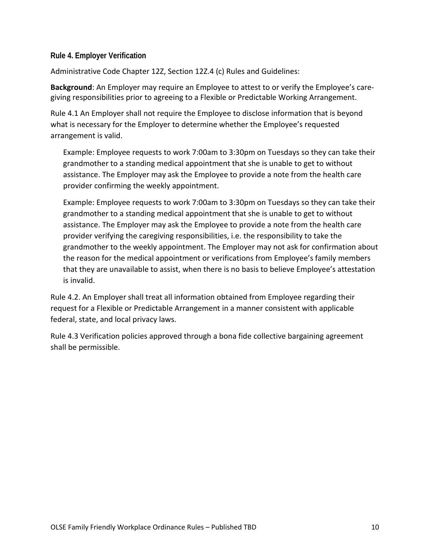#### **Rule 4. Employer Verification**

Administrative Code Chapter 12Z, Section 12Z.4 (c) Rules and Guidelines:

**Background**: An Employer may require an Employee to attest to or verify the Employee's caregiving responsibilities prior to agreeing to a Flexible or Predictable Working Arrangement.

Rule 4.1 An Employer shall not require the Employee to disclose information that is beyond what is necessary for the Employer to determine whether the Employee's requested arrangement is valid.

Example: Employee requests to work 7:00am to 3:30pm on Tuesdays so they can take their grandmother to a standing medical appointment that she is unable to get to without assistance. The Employer may ask the Employee to provide a note from the health care provider confirming the weekly appointment.

Example: Employee requests to work 7:00am to 3:30pm on Tuesdays so they can take their grandmother to a standing medical appointment that she is unable to get to without assistance. The Employer may ask the Employee to provide a note from the health care provider verifying the caregiving responsibilities, i.e. the responsibility to take the grandmother to the weekly appointment. The Employer may not ask for confirmation about the reason for the medical appointment or verifications from Employee's family members that they are unavailable to assist, when there is no basis to believe Employee's attestation is invalid.

Rule 4.2. An Employer shall treat all information obtained from Employee regarding their request for a Flexible or Predictable Arrangement in a manner consistent with applicable federal, state, and local privacy laws.

Rule 4.3 Verification policies approved through a bona fide collective bargaining agreement shall be permissible.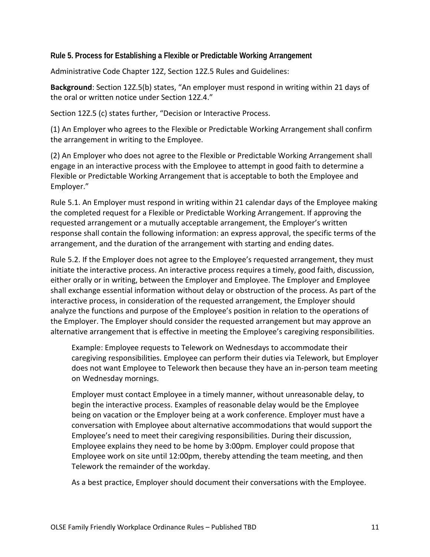**Rule 5. Process for Establishing a Flexible or Predictable Working Arrangement**

Administrative Code Chapter 12Z, Section 12Z.5 Rules and Guidelines:

**Background**: Section 12Z.5(b) states, "An employer must respond in writing within 21 days of the oral or written notice under Section 12Z.4."

Section 12Z.5 (c) states further, "Decision or Interactive Process.

(1) An Employer who agrees to the Flexible or Predictable Working Arrangement shall confirm the arrangement in writing to the Employee.

(2) An Employer who does not agree to the Flexible or Predictable Working Arrangement shall engage in an interactive process with the Employee to attempt in good faith to determine a Flexible or Predictable Working Arrangement that is acceptable to both the Employee and Employer."

Rule 5.1. An Employer must respond in writing within 21 calendar days of the Employee making the completed request for a Flexible or Predictable Working Arrangement. If approving the requested arrangement or a mutually acceptable arrangement, the Employer's written response shall contain the following information: an express approval, the specific terms of the arrangement, and the duration of the arrangement with starting and ending dates.

Rule 5.2. If the Employer does not agree to the Employee's requested arrangement, they must initiate the interactive process. An interactive process requires a timely, good faith, discussion, either orally or in writing, between the Employer and Employee. The Employer and Employee shall exchange essential information without delay or obstruction of the process. As part of the interactive process, in consideration of the requested arrangement, the Employer should analyze the functions and purpose of the Employee's position in relation to the operations of the Employer. The Employer should consider the requested arrangement but may approve an alternative arrangement that is effective in meeting the Employee's caregiving responsibilities.

Example: Employee requests to Telework on Wednesdays to accommodate their caregiving responsibilities. Employee can perform their duties via Telework, but Employer does not want Employee to Telework then because they have an in-person team meeting on Wednesday mornings.

Employer must contact Employee in a timely manner, without unreasonable delay, to begin the interactive process. Examples of reasonable delay would be the Employee being on vacation or the Employer being at a work conference. Employer must have a conversation with Employee about alternative accommodations that would support the Employee's need to meet their caregiving responsibilities. During their discussion, Employee explains they need to be home by 3:00pm. Employer could propose that Employee work on site until 12:00pm, thereby attending the team meeting, and then Telework the remainder of the workday.

As a best practice, Employer should document their conversations with the Employee.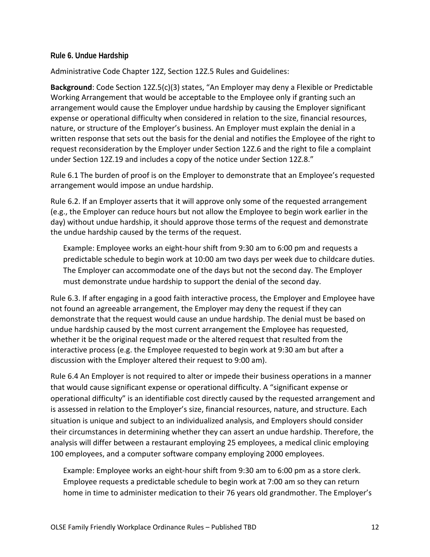#### **Rule 6. Undue Hardship**

Administrative Code Chapter 12Z, Section 12Z.5 Rules and Guidelines:

**Background**: Code Section 12Z.5(c)(3) states, "An Employer may deny a Flexible or Predictable Working Arrangement that would be acceptable to the Employee only if granting such an arrangement would cause the Employer undue hardship by causing the Employer significant expense or operational difficulty when considered in relation to the size, financial resources, nature, or structure of the Employer's business. An Employer must explain the denial in a written response that sets out the basis for the denial and notifies the Employee of the right to request reconsideration by the Employer under Section 12Z.6 and the right to file a complaint under Section 12Z.19 and includes a copy of the notice under Section 12Z.8."

Rule 6.1 The burden of proof is on the Employer to demonstrate that an Employee's requested arrangement would impose an undue hardship.

Rule 6.2. If an Employer asserts that it will approve only some of the requested arrangement (e.g., the Employer can reduce hours but not allow the Employee to begin work earlier in the day) without undue hardship, it should approve those terms of the request and demonstrate the undue hardship caused by the terms of the request.

Example: Employee works an eight-hour shift from 9:30 am to 6:00 pm and requests a predictable schedule to begin work at 10:00 am two days per week due to childcare duties. The Employer can accommodate one of the days but not the second day. The Employer must demonstrate undue hardship to support the denial of the second day.

Rule 6.3. If after engaging in a good faith interactive process, the Employer and Employee have not found an agreeable arrangement, the Employer may deny the request if they can demonstrate that the request would cause an undue hardship. The denial must be based on undue hardship caused by the most current arrangement the Employee has requested, whether it be the original request made or the altered request that resulted from the interactive process (e.g. the Employee requested to begin work at 9:30 am but after a discussion with the Employer altered their request to 9:00 am).

Rule 6.4 An Employer is not required to alter or impede their business operations in a manner that would cause significant expense or operational difficulty. A "significant expense or operational difficulty" is an identifiable cost directly caused by the requested arrangement and is assessed in relation to the Employer's size, financial resources, nature, and structure. Each situation is unique and subject to an individualized analysis, and Employers should consider their circumstances in determining whether they can assert an undue hardship. Therefore, the analysis will differ between a restaurant employing 25 employees, a medical clinic employing 100 employees, and a computer software company employing 2000 employees.

Example: Employee works an eight-hour shift from 9:30 am to 6:00 pm as a store clerk. Employee requests a predictable schedule to begin work at 7:00 am so they can return home in time to administer medication to their 76 years old grandmother. The Employer's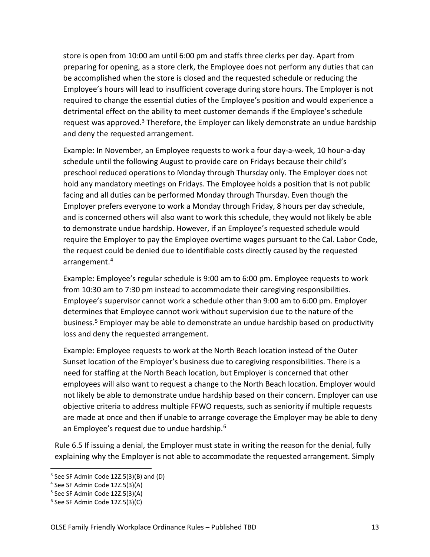store is open from 10:00 am until 6:00 pm and staffs three clerks per day. Apart from preparing for opening, as a store clerk, the Employee does not perform any duties that can be accomplished when the store is closed and the requested schedule or reducing the Employee's hours will lead to insufficient coverage during store hours. The Employer is not required to change the essential duties of the Employee's position and would experience a detrimental effect on the ability to meet customer demands if the Employee's schedule request was approved.<sup>[3](#page-12-0)</sup> Therefore, the Employer can likely demonstrate an undue hardship and deny the requested arrangement.

Example: In November, an Employee requests to work a four day-a-week, 10 hour-a-day schedule until the following August to provide care on Fridays because their child's preschool reduced operations to Monday through Thursday only. The Employer does not hold any mandatory meetings on Fridays. The Employee holds a position that is not public facing and all duties can be performed Monday through Thursday. Even though the Employer prefers everyone to work a Monday through Friday, 8 hours per day schedule, and is concerned others will also want to work this schedule, they would not likely be able to demonstrate undue hardship. However, if an Employee's requested schedule would require the Employer to pay the Employee overtime wages pursuant to the Cal. Labor Code, the request could be denied due to identifiable costs directly caused by the requested arrangement. [4](#page-12-1)

Example: Employee's regular schedule is 9:00 am to 6:00 pm. Employee requests to work from 10:30 am to 7:30 pm instead to accommodate their caregiving responsibilities. Employee's supervisor cannot work a schedule other than 9:00 am to 6:00 pm. Employer determines that Employee cannot work without supervision due to the nature of the business. [5](#page-12-2) Employer may be able to demonstrate an undue hardship based on productivity loss and deny the requested arrangement.

Example: Employee requests to work at the North Beach location instead of the Outer Sunset location of the Employer's business due to caregiving responsibilities. There is a need for staffing at the North Beach location, but Employer is concerned that other employees will also want to request a change to the North Beach location. Employer would not likely be able to demonstrate undue hardship based on their concern. Employer can use objective criteria to address multiple FFWO requests, such as seniority if multiple requests are made at once and then if unable to arrange coverage the Employer may be able to deny an Employee's request due to undue hardship. [6](#page-12-3)

Rule 6.5 If issuing a denial, the Employer must state in writing the reason for the denial, fully explaining why the Employer is not able to accommodate the requested arrangement. Simply

<span id="page-12-0"></span> $3$  See SF Admin Code 12Z.5(3)(B) and (D)

<span id="page-12-1"></span><sup>4</sup> See SF Admin Code 12Z.5(3)(A)

<span id="page-12-2"></span><sup>5</sup> See SF Admin Code 12Z.5(3)(A)

<span id="page-12-3"></span><sup>6</sup> See SF Admin Code 12Z.5(3)(C)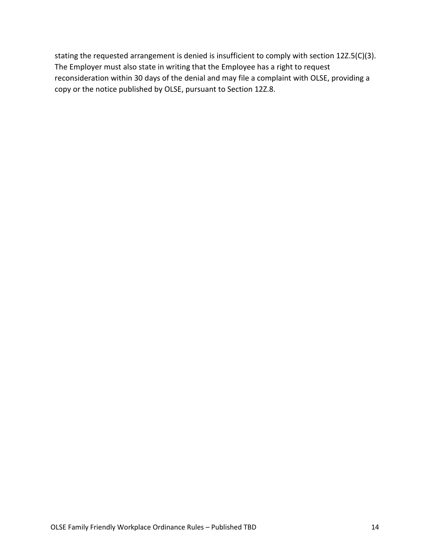stating the requested arrangement is denied is insufficient to comply with section 12Z.5(C)(3). The Employer must also state in writing that the Employee has a right to request reconsideration within 30 days of the denial and may file a complaint with OLSE, providing a copy or the notice published by OLSE, pursuant to Section 12Z.8.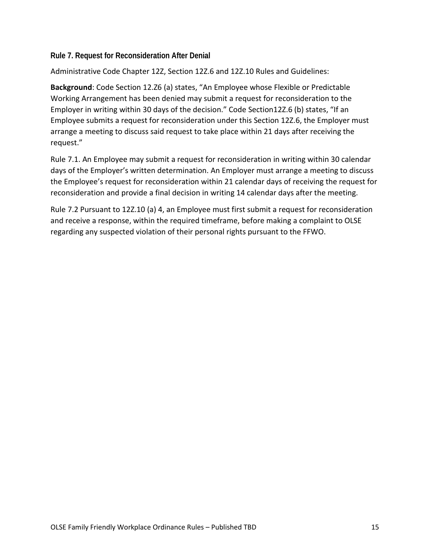## **Rule 7. Request for Reconsideration After Denial**

Administrative Code Chapter 12Z, Section 12Z.6 and 12Z.10 Rules and Guidelines:

**Background**: Code Section 12.Z6 (a) states, "An Employee whose Flexible or Predictable Working Arrangement has been denied may submit a request for reconsideration to the Employer in writing within 30 days of the decision." Code Section12Z.6 (b) states, "If an Employee submits a request for reconsideration under this Section 12Z.6, the Employer must arrange a meeting to discuss said request to take place within 21 days after receiving the request."

Rule 7.1. An Employee may submit a request for reconsideration in writing within 30 calendar days of the Employer's written determination. An Employer must arrange a meeting to discuss the Employee's request for reconsideration within 21 calendar days of receiving the request for reconsideration and provide a final decision in writing 14 calendar days after the meeting.

Rule 7.2 Pursuant to 12Z.10 (a) 4, an Employee must first submit a request for reconsideration and receive a response, within the required timeframe, before making a complaint to OLSE regarding any suspected violation of their personal rights pursuant to the FFWO.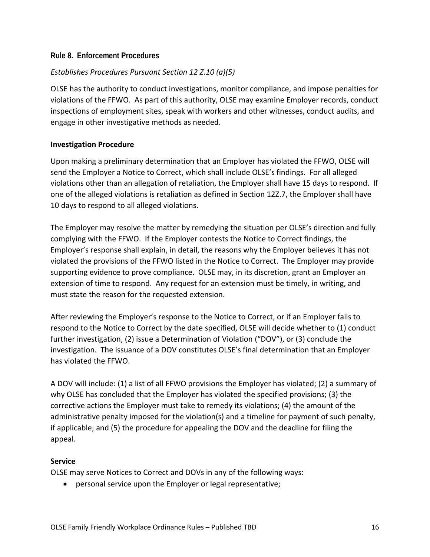#### **Rule 8. Enforcement Procedures**

## *Establishes Procedures Pursuant Section 12 Z.10 (a)(5)*

OLSE has the authority to conduct investigations, monitor compliance, and impose penalties for violations of the FFWO. As part of this authority, OLSE may examine Employer records, conduct inspections of employment sites, speak with workers and other witnesses, conduct audits, and engage in other investigative methods as needed.

#### **Investigation Procedure**

Upon making a preliminary determination that an Employer has violated the FFWO, OLSE will send the Employer a Notice to Correct, which shall include OLSE's findings. For all alleged violations other than an allegation of retaliation, the Employer shall have 15 days to respond. If one of the alleged violations is retaliation as defined in Section 12Z.7, the Employer shall have 10 days to respond to all alleged violations.

The Employer may resolve the matter by remedying the situation per OLSE's direction and fully complying with the FFWO. If the Employer contests the Notice to Correct findings, the Employer's response shall explain, in detail, the reasons why the Employer believes it has not violated the provisions of the FFWO listed in the Notice to Correct. The Employer may provide supporting evidence to prove compliance. OLSE may, in its discretion, grant an Employer an extension of time to respond. Any request for an extension must be timely, in writing, and must state the reason for the requested extension.

After reviewing the Employer's response to the Notice to Correct, or if an Employer fails to respond to the Notice to Correct by the date specified, OLSE will decide whether to (1) conduct further investigation, (2) issue a Determination of Violation ("DOV"), or (3) conclude the investigation. The issuance of a DOV constitutes OLSE's final determination that an Employer has violated the FFWO.

A DOV will include: (1) a list of all FFWO provisions the Employer has violated; (2) a summary of why OLSE has concluded that the Employer has violated the specified provisions; (3) the corrective actions the Employer must take to remedy its violations; (4) the amount of the administrative penalty imposed for the violation(s) and a timeline for payment of such penalty, if applicable; and (5) the procedure for appealing the DOV and the deadline for filing the appeal.

#### **Service**

OLSE may serve Notices to Correct and DOVs in any of the following ways:

• personal service upon the Employer or legal representative;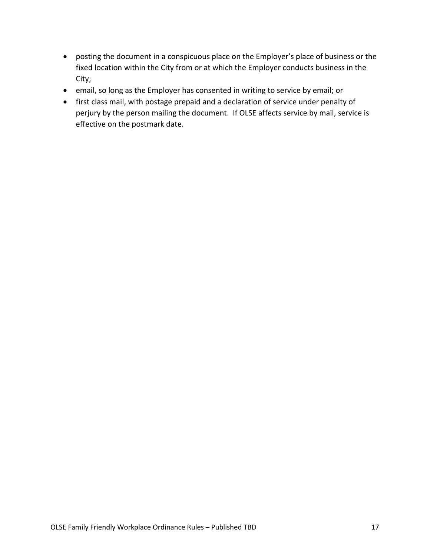- posting the document in a conspicuous place on the Employer's place of business or the fixed location within the City from or at which the Employer conducts business in the City;
- email, so long as the Employer has consented in writing to service by email; or
- first class mail, with postage prepaid and a declaration of service under penalty of perjury by the person mailing the document. If OLSE affects service by mail, service is effective on the postmark date.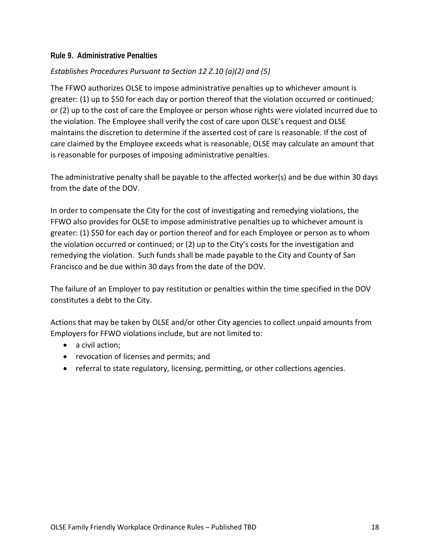#### **Rule 9. Administrative Penalties**

# *Establishes Procedures Pursuant to Section 12 Z.10 (a)(2) and (5)*

The FFWO authorizes OLSE to impose administrative penalties up to whichever amount is greater: (1) up to \$50 for each day or portion thereof that the violation occurred or continued; or (2) up to the cost of care the Employee or person whose rights were violated incurred due to the violation. The Employee shall verify the cost of care upon OLSE's request and OLSE maintains the discretion to determine if the asserted cost of care is reasonable. If the cost of care claimed by the Employee exceeds what is reasonable, OLSE may calculate an amount that is reasonable for purposes of imposing administrative penalties.

The administrative penalty shall be payable to the affected worker(s) and be due within 30 days from the date of the DOV.

In order to compensate the City for the cost of investigating and remedying violations, the FFWO also provides for OLSE to impose administrative penalties up to whichever amount is greater: (1) \$50 for each day or portion thereof and for each Employee or person as to whom the violation occurred or continued; or (2) up to the City's costs for the investigation and remedying the violation. Such funds shall be made payable to the City and County of San Francisco and be due within 30 days from the date of the DOV.

The failure of an Employer to pay restitution or penalties within the time specified in the DOV constitutes a debt to the City.

Actions that may be taken by OLSE and/or other City agencies to collect unpaid amounts from Employers for FFWO violations include, but are not limited to:

- a civil action;
- revocation of licenses and permits; and
- referral to state regulatory, licensing, permitting, or other collections agencies.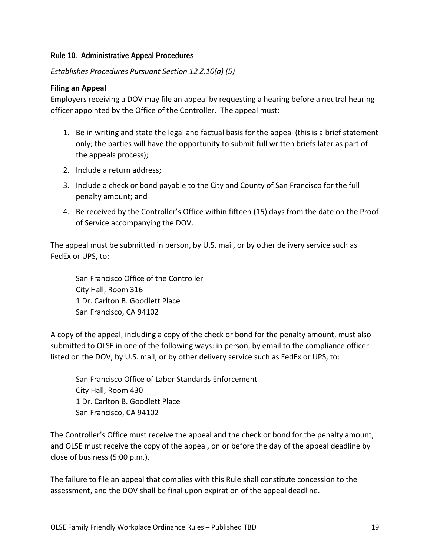## **Rule 10. Administrative Appeal Procedures**

*Establishes Procedures Pursuant Section 12 Z.10(a) (5)* 

#### **Filing an Appeal**

Employers receiving a DOV may file an appeal by requesting a hearing before a neutral hearing officer appointed by the Office of the Controller. The appeal must:

- 1. Be in writing and state the legal and factual basis for the appeal (this is a brief statement only; the parties will have the opportunity to submit full written briefs later as part of the appeals process);
- 2. Include a return address;
- 3. Include a check or bond payable to the City and County of San Francisco for the full penalty amount; and
- 4. Be received by the Controller's Office within fifteen (15) days from the date on the Proof of Service accompanying the DOV.

The appeal must be submitted in person, by U.S. mail, or by other delivery service such as FedEx or UPS, to:

San Francisco Office of the Controller City Hall, Room 316 1 Dr. Carlton B. Goodlett Place San Francisco, CA 94102

A copy of the appeal, including a copy of the check or bond for the penalty amount, must also submitted to OLSE in one of the following ways: in person, by email to the compliance officer listed on the DOV, by U.S. mail, or by other delivery service such as FedEx or UPS, to:

San Francisco Office of Labor Standards Enforcement City Hall, Room 430 1 Dr. Carlton B. Goodlett Place San Francisco, CA 94102

The Controller's Office must receive the appeal and the check or bond for the penalty amount, and OLSE must receive the copy of the appeal, on or before the day of the appeal deadline by close of business (5:00 p.m.).

The failure to file an appeal that complies with this Rule shall constitute concession to the assessment, and the DOV shall be final upon expiration of the appeal deadline.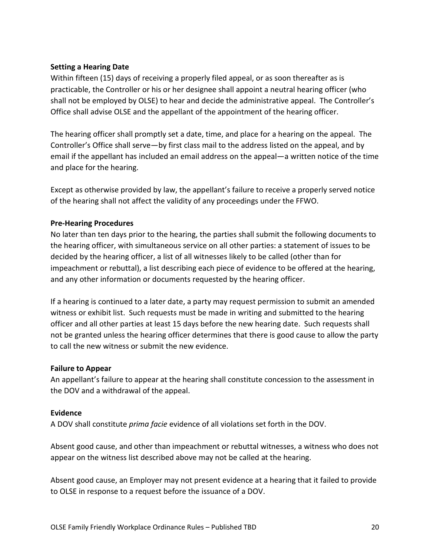#### **Setting a Hearing Date**

Within fifteen (15) days of receiving a properly filed appeal, or as soon thereafter as is practicable, the Controller or his or her designee shall appoint a neutral hearing officer (who shall not be employed by OLSE) to hear and decide the administrative appeal. The Controller's Office shall advise OLSE and the appellant of the appointment of the hearing officer.

The hearing officer shall promptly set a date, time, and place for a hearing on the appeal. The Controller's Office shall serve—by first class mail to the address listed on the appeal, and by email if the appellant has included an email address on the appeal—a written notice of the time and place for the hearing.

Except as otherwise provided by law, the appellant's failure to receive a properly served notice of the hearing shall not affect the validity of any proceedings under the FFWO.

#### **Pre-Hearing Procedures**

No later than ten days prior to the hearing, the parties shall submit the following documents to the hearing officer, with simultaneous service on all other parties: a statement of issues to be decided by the hearing officer, a list of all witnesses likely to be called (other than for impeachment or rebuttal), a list describing each piece of evidence to be offered at the hearing, and any other information or documents requested by the hearing officer.

If a hearing is continued to a later date, a party may request permission to submit an amended witness or exhibit list. Such requests must be made in writing and submitted to the hearing officer and all other parties at least 15 days before the new hearing date. Such requests shall not be granted unless the hearing officer determines that there is good cause to allow the party to call the new witness or submit the new evidence.

#### **Failure to Appear**

An appellant's failure to appear at the hearing shall constitute concession to the assessment in the DOV and a withdrawal of the appeal.

#### **Evidence**

A DOV shall constitute *prima facie* evidence of all violations set forth in the DOV.

Absent good cause, and other than impeachment or rebuttal witnesses, a witness who does not appear on the witness list described above may not be called at the hearing.

Absent good cause, an Employer may not present evidence at a hearing that it failed to provide to OLSE in response to a request before the issuance of a DOV.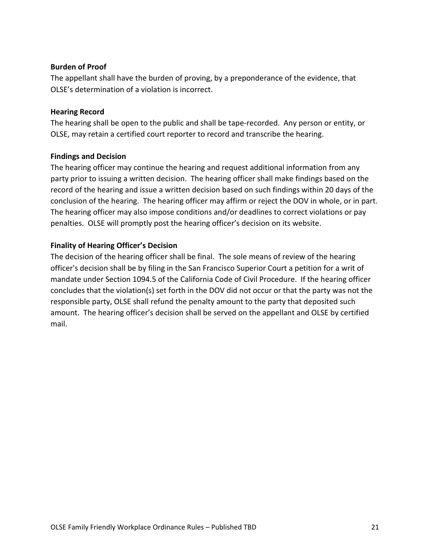#### **Burden of Proof**

The appellant shall have the burden of proving, by a preponderance of the evidence, that OLSE's determination of a violation is incorrect.

#### **Hearing Record**

The hearing shall be open to the public and shall be tape-recorded. Any person or entity, or OLSE, may retain a certified court reporter to record and transcribe the hearing.

#### **Findings and Decision**

The hearing officer may continue the hearing and request additional information from any party prior to issuing a written decision. The hearing officer shall make findings based on the record of the hearing and issue a written decision based on such findings within 20 days of the conclusion of the hearing. The hearing officer may affirm or reject the DOV in whole, or in part. The hearing officer may also impose conditions and/or deadlines to correct violations or pay penalties. OLSE will promptly post the hearing officer's decision on its website.

# **Finality of Hearing Officer's Decision**

The decision of the hearing officer shall be final. The sole means of review of the hearing officer's decision shall be by filing in the San Francisco Superior Court a petition for a writ of mandate under Section 1094.5 of the California Code of Civil Procedure. If the hearing officer concludes that the violation(s) set forth in the DOV did not occur or that the party was not the responsible party, OLSE shall refund the penalty amount to the party that deposited such amount. The hearing officer's decision shall be served on the appellant and OLSE by certified mail.